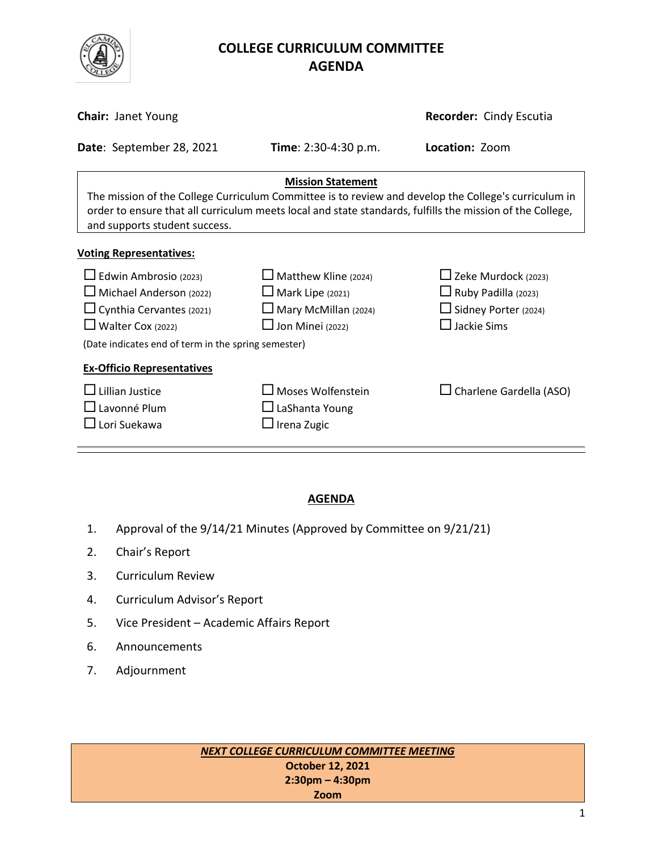

# **COLLEGE CURRICULUM COMMITTEE** **AGENDA**

| <b>Chair: Janet Young</b>                                                                                                                                                                                                                                                      | Recorder: Cindy Escutia                                                                                          |                                                                                                               |  |  |  |  |
|--------------------------------------------------------------------------------------------------------------------------------------------------------------------------------------------------------------------------------------------------------------------------------|------------------------------------------------------------------------------------------------------------------|---------------------------------------------------------------------------------------------------------------|--|--|--|--|
| Date: September 28, 2021                                                                                                                                                                                                                                                       | Time: 2:30-4:30 p.m.                                                                                             | Location: Zoom                                                                                                |  |  |  |  |
| <b>Mission Statement</b><br>The mission of the College Curriculum Committee is to review and develop the College's curriculum in<br>order to ensure that all curriculum meets local and state standards, fulfills the mission of the College,<br>and supports student success. |                                                                                                                  |                                                                                                               |  |  |  |  |
| <b>Voting Representatives:</b>                                                                                                                                                                                                                                                 |                                                                                                                  |                                                                                                               |  |  |  |  |
| $\Box$ Edwin Ambrosio (2023)<br>$\Box$ Michael Anderson (2022)<br>$\Box$ Cynthia Cervantes (2021)<br>$\Box$ Walter Cox (2022)<br>(Date indicates end of term in the spring semester)                                                                                           | $\Box$ Matthew Kline (2024)<br>$\Box$ Mark Lipe (2021)<br>$\Box$ Mary McMillan (2024)<br>$\Box$ Jon Minei (2022) | $\Box$ Zeke Murdock (2023)<br>$\Box$ Ruby Padilla (2023)<br>$\Box$ Sidney Porter (2024)<br>$\Box$ Jackie Sims |  |  |  |  |
| <b>Ex-Officio Representatives</b><br>Lillian Justice<br>$\square$ Lavonné Plum<br>$\sqcup$ Lori Suekawa                                                                                                                                                                        | $\Box$ Moses Wolfenstein<br>$\Box$ LaShanta Young<br>$\Box$ Irena Zugic                                          | $\Box$ Charlene Gardella (ASO)                                                                                |  |  |  |  |

## **AGENDA**

- 1. Approval of the 9/14/21 Minutes (Approved by Committee on 9/21/21)
- 2. Chair's Report
- 3. Curriculum Review
- 4. Curriculum Advisor's Report
- 5. Vice President Academic Affairs Report
- 6. Announcements
- 7. Adjournment

*NEXT COLLEGE CURRICULUM COMMITTEE MEETING* **October 12, 2021 2:30pm – 4:30pm Zoom**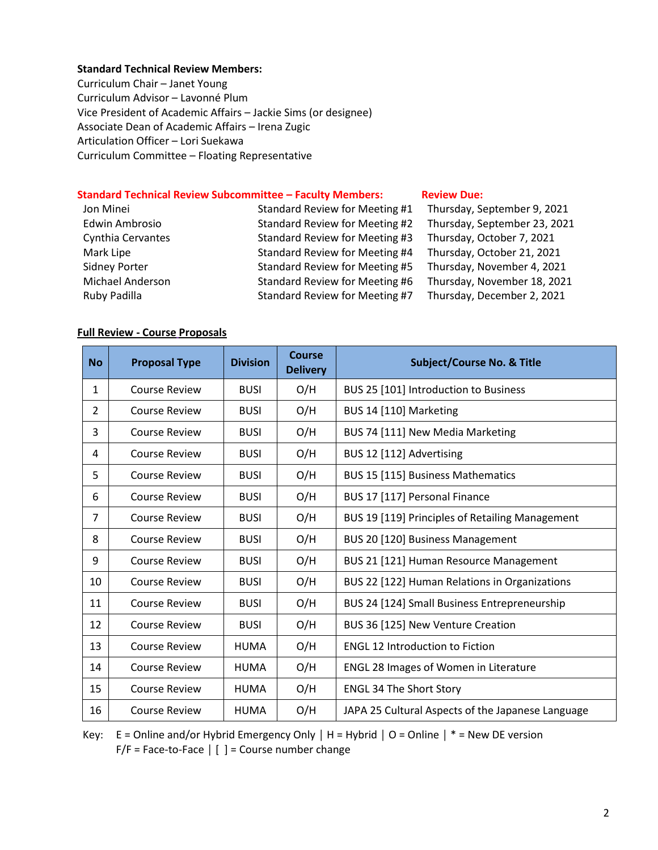### **Standard Technical Review Members:**

Curriculum Chair – Janet Young Curriculum Advisor – Lavonné Plum Vice President of Academic Affairs – Jackie Sims (or designee) Associate Dean of Academic Affairs – Irena Zugic Articulation Officer – Lori Suekawa Curriculum Committee – Floating Representative

### **Standard Technical Review Subcommittee – Faculty Members: [Review](http://www.curricunet.com/elcamino/documents/Spring%202016%20CCC%20Timeline.pdf) Due:**

| Jon Minei               | Standard Review for Meeting #1 | Thursday, September 9, 2021  |
|-------------------------|--------------------------------|------------------------------|
| <b>Edwin Ambrosio</b>   | Standard Review for Meeting #2 | Thursday, September 23, 2021 |
| Cynthia Cervantes       | Standard Review for Meeting #3 | Thursday, October 7, 2021    |
| Mark Lipe               | Standard Review for Meeting #4 | Thursday, October 21, 2021   |
| <b>Sidney Porter</b>    | Standard Review for Meeting #5 | Thursday, November 4, 2021   |
| <b>Michael Anderson</b> | Standard Review for Meeting #6 | Thursday, November 18, 2021  |
| Ruby Padilla            | Standard Review for Meeting #7 | Thursday, December 2, 2021   |

#### **Full Review - Course Proposals**

| <b>No</b>      | <b>Proposal Type</b> | <b>Division</b> | Course<br><b>Delivery</b> | <b>Subject/Course No. &amp; Title</b>             |
|----------------|----------------------|-----------------|---------------------------|---------------------------------------------------|
| $\mathbf{1}$   | <b>Course Review</b> | <b>BUSI</b>     | O/H                       | BUS 25 [101] Introduction to Business             |
| $\overline{2}$ | <b>Course Review</b> | <b>BUSI</b>     | O/H                       | BUS 14 [110] Marketing                            |
| 3              | <b>Course Review</b> | <b>BUSI</b>     | O/H                       | BUS 74 [111] New Media Marketing                  |
| 4              | <b>Course Review</b> | <b>BUSI</b>     | O/H                       | BUS 12 [112] Advertising                          |
| 5              | <b>Course Review</b> | <b>BUSI</b>     | O/H                       | BUS 15 [115] Business Mathematics                 |
| 6              | <b>Course Review</b> | <b>BUSI</b>     | O/H                       | BUS 17 [117] Personal Finance                     |
| $\overline{7}$ | <b>Course Review</b> | <b>BUSI</b>     | O/H                       | BUS 19 [119] Principles of Retailing Management   |
| 8              | <b>Course Review</b> | <b>BUSI</b>     | O/H                       | BUS 20 [120] Business Management                  |
| 9              | <b>Course Review</b> | <b>BUSI</b>     | O/H                       | BUS 21 [121] Human Resource Management            |
| 10             | <b>Course Review</b> | <b>BUSI</b>     | O/H                       | BUS 22 [122] Human Relations in Organizations     |
| 11             | <b>Course Review</b> | <b>BUSI</b>     | O/H                       | BUS 24 [124] Small Business Entrepreneurship      |
| 12             | <b>Course Review</b> | <b>BUSI</b>     | O/H                       | BUS 36 [125] New Venture Creation                 |
| 13             | <b>Course Review</b> | <b>HUMA</b>     | O/H                       | <b>ENGL 12 Introduction to Fiction</b>            |
| 14             | <b>Course Review</b> | <b>HUMA</b>     | O/H                       | ENGL 28 Images of Women in Literature             |
| 15             | <b>Course Review</b> | <b>HUMA</b>     | O/H                       | <b>ENGL 34 The Short Story</b>                    |
| 16             | <b>Course Review</b> | <b>HUMA</b>     | O/H                       | JAPA 25 Cultural Aspects of the Japanese Language |

Key: E = Online and/or Hybrid Emergency Only **│** H = Hybrid **│** O = Online **│** \* = New DE version F/F = Face-to-Face **│** [ ] = Course number change